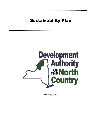# Sustainability Plan



February 2022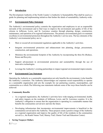# **1.0 Introduction**

The Development Authority of the North Country's (Authority's) Sustainability Plan shall be used as a guide for planning and implementing initiatives that further the ideals of sustainability Authority-wide.

## **2.0 Environmental Policy Statement**

The Authority's environmental policy commits the organization and employees to act as responsible stewards of the environment and to find ways to improve the environment and quality of life of the citizens in Jefferson, Lewis, and St. Lawrence counties through planning, design, construction, maintenance, and operation of its regional infrastructure. The primary environmental goal is to maintain excellence in environmental protection throughout the Authority's service area. The key elements of the Authority's environmental policy are to:

- Meet or exceed all environmental regulations applicable to the Authority's activities.
- Integrate environmental protection and enhancement into planning, design, procurement, construction, and operations.
- Minimize the environmental footprint of the Authority by incorporating the three Rs (Reduce, Reuse and Recycle).
- Support advancement in environmental protection and sustainability through the use of innovative technologies.
- Leverage the Authority's existing partnerships to impact regional environmental improvements.

#### **4.0 Environmental Case Statement**

Operating the Authority as a sustainable organization not only benefits the environment, it also benefits the Authority's customers. The Authority acknowledges our corporate social responsibility to operate as a sustainable organization and sets the example for our partnering counties, municipalities, and communities as a whole.The following case statements indicate some of the ways those benefits can be achieved:

#### • **Community Benefits**

- o As a regional organization, the Authority's activities have wide-ranging environmental, health, and safety impacts on the residents of Jefferson, Lewis, and St. Lawrence counties. It is the Authority's obligation to ensure that the organization is operating in a sustainable manner that benefits the communities served now and into the future.
- o Developing infrastructure that incorporates environmental improvements is beneficial to the communities served and to the Authority. These projects create a positive image of the Authority as a regional organization and improve the quality of life of the residents in the communities served (i.e., the Kanik Nature Trail, Murray Trail, Glasier Trail and Education Center).

#### • **Saving Taxpayer Dollars**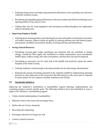- o Reducing energy losses and improving operational efficiencies lowers operating costs and saves Authority customers money.
- o Retrofitting and upgrading aging infrastructure with more modern and efficient technology saves operating dollars in the years to come.
- o Finding other uses for scrap equipment, and increasing recycling throughout our organization reduces operating costs.

#### • **Improving Employee Health**

 $\circ$  Utilizing green cleaning products and reducing the toxicity and number of chemicals in inventory will reduce exposure, improve indoor air quality by reducing airborne dust and chemical gases, and promote a healthier environment, thereby, lowering sick days and absenteeism.

#### • **Saving Natural Resources**

- o Purchasing recycled paper reduce greenhouse gas emissions that can contribute to climate change, extends the fiber supply and contributes to carbon sequestration, saves considerable landfill space, reduces energy and water consumption, and decreases the need for disposal.
- o Developing an innovative use for waste heat at the landfill will positively impact the carbon footprint of the North Country.
- o Utilizing Authority owned acreage to develop potential use for solar energy advancements.
- o Reducing the amount of leachate generated at the Authority landfill by implementing operating practices to clean shed more of the stormwater that falls directly on the waste mass is expected to create options for less expensive leachate treatment at the facility.

#### **5.0 Sustainable Initiatives**

Improving the Authority's commitment to sustainability requires planning, implementation and evaluating progress towards specific goals. The following initiatives have been identified as ways to improve the Authority's sustainability program:

- Create a shared understanding of sustainability;
- Minimize waste at the source and encourage reuse;
- Reduce the use of toxic chemicals;
- Recycling and composting;
- Encourage reductions in energy use; and
- Conserve natural resources.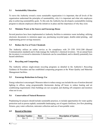# **5.1 Sustainability Education**

To move the Authority toward a more sustainable organization it is important, that all levels of the organization understand the principles of sustainability, why it is important and what role employees play in achieving sustainability goals. To this end, the Authority has developed a sustainability training program to educate employees about the initiatives in place and the importance of why they exist.

# **5.2 Minimize Waste at the Source and Encourage Reuse**

Several practices have been implemented at Authority facilities to minimize waste including: utilizing electronic documents to minimize paper use, purchasing recycled paper, double-sided printing, and implementing power savings measures.

## **5.3 Reduce the Use of Toxic Chemicals**

The Authority utilizes an online service as for compliance with 29 CFR 1910.1200 (Hazard Communication standard) and to help manage the Authority's chemical inventory. On an annual basis the inventory is reviewed to determine if chemicals can be consolidated, and to identify potentially less hazard substitutes.

## **5.4 Recycling and Composting**

The Authority utilizes single-stream recycling programs as detailed in the Authority's Recycling Guidance & Procedure and has established composting programs at the Water Quality and Materials Management facilities.

#### **5.5 Encourage Reductions in Energy Use**

Energy reduction is encouraged. Measures taken to reduce energy use include the use of motion detected lighting in offices, using programmable thermostats during off hours to reduce heating and air conditioning requirements when buildings are not occupied, and shutting off computers and monitors when not in use.

#### **5.6 Conservation of Natural Resources**

Preplanning for projects should include sustainable practices, to include opportunities for water quality protection such as porous asphalt, sustainable landscaping, use of organic fertilizers, low flow plumbing fixtures, gray water collection, rainwater collection and use of non-potable water.

#### **6.0 Record of Revision**

| <b>Revision Number</b> | Date    | <b>Description of Updates</b> |
|------------------------|---------|-------------------------------|
| Rev. 0                 | 10/2008 | Document Created.             |